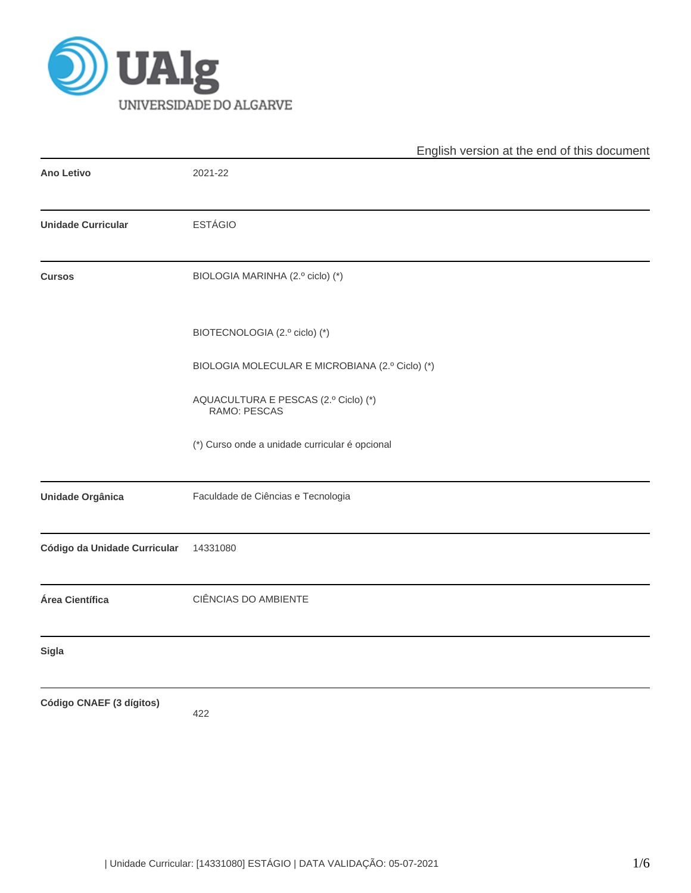

|                              | English version at the end of this document          |  |
|------------------------------|------------------------------------------------------|--|
| <b>Ano Letivo</b>            | 2021-22                                              |  |
| <b>Unidade Curricular</b>    | <b>ESTÁGIO</b>                                       |  |
| <b>Cursos</b>                | BIOLOGIA MARINHA (2.º ciclo) (*)                     |  |
|                              | BIOTECNOLOGIA (2.º ciclo) (*)                        |  |
|                              | BIOLOGIA MOLECULAR E MICROBIANA (2.º Ciclo) (*)      |  |
|                              | AQUACULTURA E PESCAS (2.º Ciclo) (*)<br>RAMO: PESCAS |  |
|                              | (*) Curso onde a unidade curricular é opcional       |  |
| <b>Unidade Orgânica</b>      | Faculdade de Ciências e Tecnologia                   |  |
| Código da Unidade Curricular | 14331080                                             |  |
| Área Científica              | CIÊNCIAS DO AMBIENTE                                 |  |
| <b>Sigla</b>                 |                                                      |  |
| Código CNAEF (3 dígitos)     | 422                                                  |  |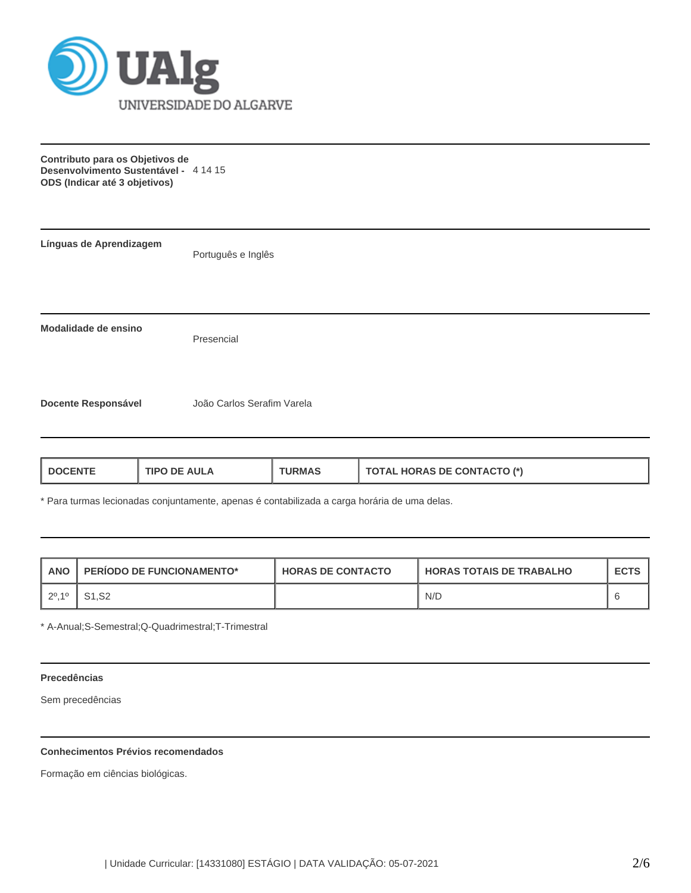

**Contributo para os Objetivos de Desenvolvimento Sustentável -** 4 14 15 **ODS (Indicar até 3 objetivos)**

| Línguas de Aprendizagem    | Português e Inglês         |  |
|----------------------------|----------------------------|--|
|                            |                            |  |
| Modalidade de ensino       | Presencial                 |  |
| <b>Docente Responsável</b> | João Carlos Serafim Varela |  |

| <b>TOTAL HORAS DE CONTACTO (*)</b><br><b>TIPO DE AULA</b><br><b>I DOCENTE</b><br><b>URMAS</b> |
|-----------------------------------------------------------------------------------------------|
|-----------------------------------------------------------------------------------------------|

\* Para turmas lecionadas conjuntamente, apenas é contabilizada a carga horária de uma delas.

| <b>ANO</b> | <b>PERIODO DE FUNCIONAMENTO*</b> | <b>HORAS DE CONTACTO</b> | <b>LHORAS TOTAIS DE TRABALHO</b> | <b>ECTS</b> |
|------------|----------------------------------|--------------------------|----------------------------------|-------------|
| 1, 20, 10  |                                  |                          | N/D                              |             |

\* A-Anual;S-Semestral;Q-Quadrimestral;T-Trimestral

## **Precedências**

Sem precedências

# **Conhecimentos Prévios recomendados**

Formação em ciências biológicas.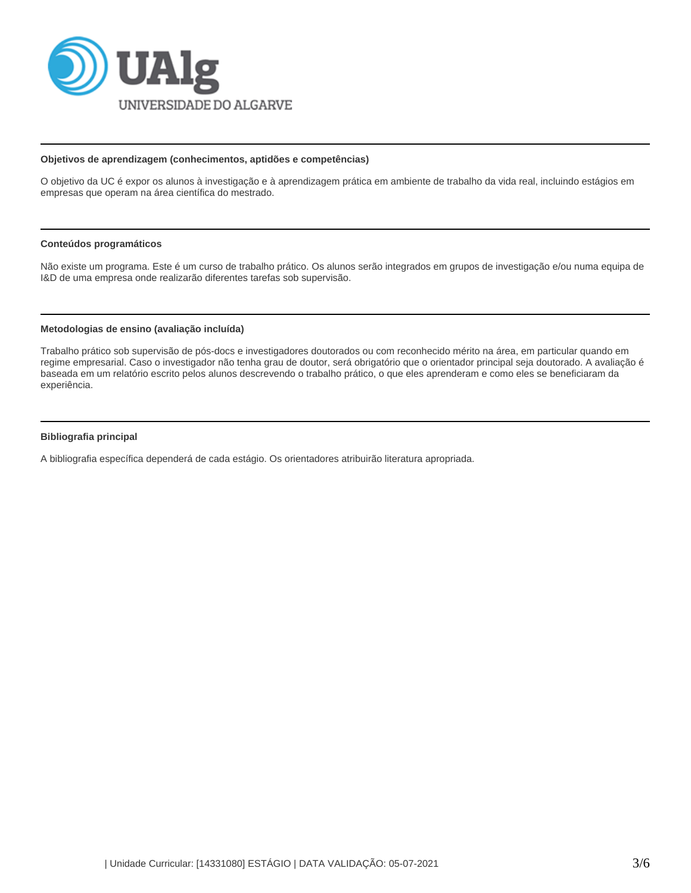

#### **Objetivos de aprendizagem (conhecimentos, aptidões e competências)**

O objetivo da UC é expor os alunos à investigação e à aprendizagem prática em ambiente de trabalho da vida real, incluindo estágios em empresas que operam na área científica do mestrado.

#### **Conteúdos programáticos**

Não existe um programa. Este é um curso de trabalho prático. Os alunos serão integrados em grupos de investigação e/ou numa equipa de I&D de uma empresa onde realizarão diferentes tarefas sob supervisão.

## **Metodologias de ensino (avaliação incluída)**

Trabalho prático sob supervisão de pós-docs e investigadores doutorados ou com reconhecido mérito na área, em particular quando em regime empresarial. Caso o investigador não tenha grau de doutor, será obrigatório que o orientador principal seja doutorado. A avaliação é baseada em um relatório escrito pelos alunos descrevendo o trabalho prático, o que eles aprenderam e como eles se beneficiaram da experiência.

#### **Bibliografia principal**

A bibliografia específica dependerá de cada estágio. Os orientadores atribuirão literatura apropriada.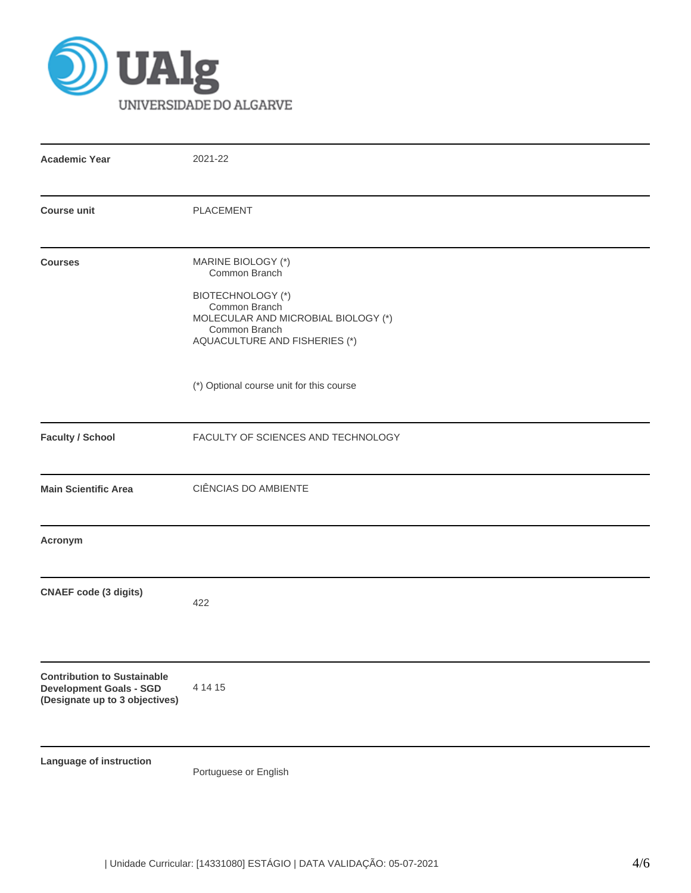

| <b>Academic Year</b>                                                                                   | 2021-22                                                                                                                                                                                                               |  |
|--------------------------------------------------------------------------------------------------------|-----------------------------------------------------------------------------------------------------------------------------------------------------------------------------------------------------------------------|--|
| <b>Course unit</b>                                                                                     | <b>PLACEMENT</b>                                                                                                                                                                                                      |  |
| <b>Courses</b>                                                                                         | MARINE BIOLOGY (*)<br>Common Branch<br><b>BIOTECHNOLOGY (*)</b><br>Common Branch<br>MOLECULAR AND MICROBIAL BIOLOGY (*)<br>Common Branch<br>AQUACULTURE AND FISHERIES (*)<br>(*) Optional course unit for this course |  |
| <b>Faculty / School</b>                                                                                | FACULTY OF SCIENCES AND TECHNOLOGY                                                                                                                                                                                    |  |
| <b>Main Scientific Area</b>                                                                            | CIÊNCIAS DO AMBIENTE                                                                                                                                                                                                  |  |
| Acronym                                                                                                |                                                                                                                                                                                                                       |  |
| <b>CNAEF</b> code (3 digits)                                                                           | 422                                                                                                                                                                                                                   |  |
| <b>Contribution to Sustainable</b><br><b>Development Goals - SGD</b><br>(Designate up to 3 objectives) | 4 14 15                                                                                                                                                                                                               |  |
| Language of instruction                                                                                | Portuguese or English                                                                                                                                                                                                 |  |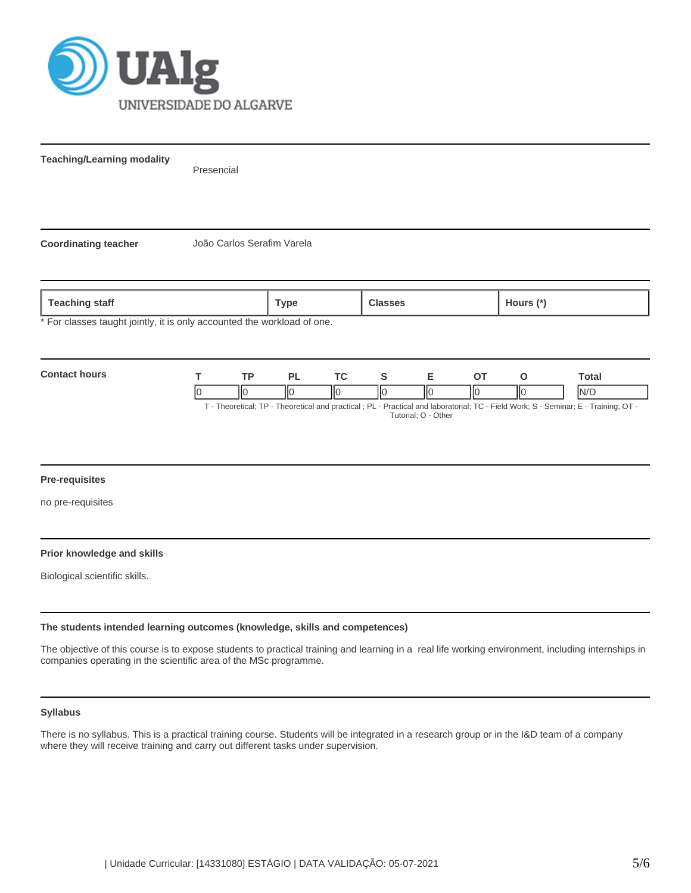

**Teaching/Learning modality**

Presencial

**Coordinating teacher** João Carlos Serafim Varela

**Teaching staff Type Classes Hours (\*)**

For classes taught jointly, it is only accounted the workload of one.



Tutorial; O - Other

### **Pre-requisites**

no pre-requisites

### **Prior knowledge and skills**

Biological scientific skills.

### **The students intended learning outcomes (knowledge, skills and competences)**

The objective of this course is to expose students to practical training and learning in a real life working environment, including internships in companies operating in the scientific area of the MSc programme.

### **Syllabus**

There is no syllabus. This is a practical training course. Students will be integrated in a research group or in the I&D team of a company where they will receive training and carry out different tasks under supervision.